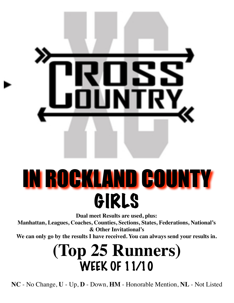

# IN ROCKLAND COUNTY GIRLS

**Dual meet Results are used, plus:**

**Manhattan, Leagues, Coaches, Counties, Sections, States, Federations, National's & Other Invitational's**

**We can only go by the results I have received. You can always send your results in.**

### **(Top 25 Runners)** WEEK OF 11/10

**NC** - No Change, **U** - Up, **D** - Down, **HM** - Honorable Mention, **NL** - Not Listed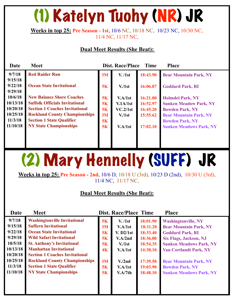## (1) Katelyn Tuohy (NR) JR

#### **Weeks in top 25: Pre Season - 1st,** 10/6 NC, 10/18 NC, 10/23 NC, 10/30 NC, 11/4 NC, 11/17 NC,

#### **Dual Meet Results (She Beat):**

| <b>Meet</b>                                                                                                                                                                                                                     | <b>Dist. Race/Place</b><br><b>Time</b><br><b>Place</b> |                                                                |                                                          |                                                                                                                                                                                 |  |  |  |
|---------------------------------------------------------------------------------------------------------------------------------------------------------------------------------------------------------------------------------|--------------------------------------------------------|----------------------------------------------------------------|----------------------------------------------------------|---------------------------------------------------------------------------------------------------------------------------------------------------------------------------------|--|--|--|
| <b>Red Raider Run</b>                                                                                                                                                                                                           | 3M                                                     | V. /1st                                                        | 18:43.90                                                 | <b>Bear Mountain Park, NY</b>                                                                                                                                                   |  |  |  |
| <b>Ocean State Invitational</b>                                                                                                                                                                                                 | 5K                                                     | V <sub>1st</sub>                                               | 16:06.87                                                 | <b>Goddard Park, RI</b>                                                                                                                                                         |  |  |  |
| <b>New Balance Shore Coaches</b><br><b>Suffolk Officials Invitational</b><br><b>Section 1 Coaches Invitational</b><br><b>Rockland County Championships</b><br><b>Section 1 State Qualifier</b><br><b>NY State Championships</b> | 5K<br>5K<br>5K<br>3M<br>5K<br>5K                       | V.A/1st<br>V.1A/1st<br>VC.2/1st<br>V <sub>1st</sub><br>V.A/1st | 16:21.00<br>16:52.97<br>16:45.20<br>15:55.62<br>17:02.10 | <b>Holmdel Park, NY</b><br><b>Sunken Meadow Park, NY</b><br><b>Bowden Park, NY</b><br><b>Bear Mountain Park, NY</b><br><b>Bowden Park, NY</b><br><b>Sunken Meadows Park, NY</b> |  |  |  |
|                                                                                                                                                                                                                                 |                                                        |                                                                |                                                          |                                                                                                                                                                                 |  |  |  |

## (2) Mary Hennelly (SUFF) JR

**Weeks in top 25: Pre Season - 2nd,** 10/6 D, 10/18 U (3rd), 10/23 D (2nd), 10/30 U (3rd), 11/4 NC, 11/17 NC,

| Date     | <b>Meet</b>                           |    | <b>Dist. Race/Place Time</b> |          | <b>Place</b>                   |
|----------|---------------------------------------|----|------------------------------|----------|--------------------------------|
| 9/7/18   | <b>Washingtonville Invitational</b>   | 5K | V. /1st                      | 18:01.90 | <b>Washingtonville, NY</b>     |
| 9/15/18  | <b>Suffern Invitational</b>           | 3M | V.A/1st                      | 18:11.20 | <b>Bear Mountain Park, NY</b>  |
| 9/22/18  | <b>Ocean State Invitational</b>       | 5K | V. D2/1st                    | 18:33.40 | <b>Goddard Park, RI</b>        |
| 9/29/18  | <b>Wild Safari Invitational</b>       | 5K | V.A/2nd                      | 18:36.00 | <b>Six Flags, Jackson, NJ</b>  |
| 10/5/18  | <b>St. Anthony's Invitational</b>     | 5K | V <sub>1st</sub>             | 18:54.35 | <b>Sunken Meadows Park, NY</b> |
| 10/13/18 | <b>Manhattan Invitational</b>         | 4K | V.A/1st                      | 14:30.10 | <b>Van Cortlandt Park, NY</b>  |
| 10/20/18 | <b>Section 1 Coaches Invitational</b> |    |                              |          |                                |
| 10/25/18 | <b>Rockland County Championships</b>  | 3M | V <sub>1</sub> /2nd          | 17:39.58 | <b>Bear Mountain Park, NY</b>  |
| 11/3/18  | <b>Section 1 State Qualifier</b>      | 5K | V.A/1st                      | 19:03.90 | <b>Bowden Park, NY</b>         |
| 11/10/18 | <b>NY State Championships</b>         | 5K | V.A/7th                      | 18:48.10 | <b>Sunken Meadows Park, NY</b> |
|          |                                       |    |                              |          |                                |
|          |                                       |    |                              |          |                                |
|          |                                       |    |                              |          |                                |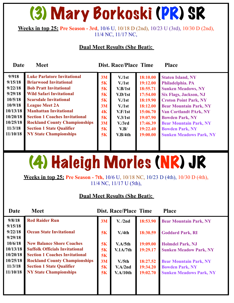### (3) Mary Borkoski (PR) SR

#### **Weeks in top 25: Pre Season - 3rd**, 10/6 U, 10/18 D (2nd), 10/23 U (3rd), 10/30 D (2nd), 11/4 NC, 11/17 NC,

#### **Dual Meet Results (She Beat):**

**Date Meet Dist. Race/Place Time Place** 

| 9/918    | <b>Luke Parlatore Invitational</b>    | 3M | V <sub>1st</sub>    | 18:10.00 | <b>Staten Island, NY</b>       |
|----------|---------------------------------------|----|---------------------|----------|--------------------------------|
| 9/15/18  | <b>Briarwood Invitational</b>         | 5K | V <sub>1st</sub>    | 19:12.00 | Philadelphia. PA               |
| 9/22/18  | <b>Bob Pratt Invitational</b>         | 5K | V.B/1st             | 18:55.71 | <b>Sunken Meadows, NY</b>      |
| 9/29/18  | <b>Wild Safari Invitational</b>       | 5K | V.D/1st             | 17:54.00 | <b>Six Flags, Jackson, NJ</b>  |
| 10/5/18  | <b>Scarsdale Invitational</b>         | 5K | V <sub>1st</sub>    | 18:19.90 | <b>Croton Point Park, NY</b>   |
| 10/9/18  | <b>League Meet 2A</b>                 | 3M | V <sub>1st</sub>    | 18:12.00 | <b>Bear Mountain Park, NY</b>  |
| 10/13/18 | <b>Manhattan Invitational</b>         | 4K | V.F/1st             | 15:06.70 | <b>Van Cortlandt PArk, NY</b>  |
| 10/20/18 | <b>Section 1 Coaches Invitational</b> | 5K | V.3/1st             | 19:07.90 | <b>Bowden Park, NY</b>         |
| 10/25/18 | <b>Rockland County Championships</b>  | 3M | V <sub>1</sub> /3rd | 17:46.39 | <b>Bear Mountain Park, NY</b>  |
| 11/3/18  | <b>Section 1 State Qualifier</b>      | 5K | V.B/                | 19:22.40 | <b>Bowden Park, NY</b>         |
| 11/10/18 | <b>NY State Championships</b>         | 5K | V.B/4th             | 19:00.00 | <b>Sunken Meadows Park, NY</b> |
|          |                                       |    |                     |          |                                |
|          |                                       |    |                     |          |                                |

## (4) Haleigh Morles (NR) JR

**Weeks in top 25: Pre Season - 7th,** 10/6 U, 10/18 NC, 10/23 D (4th), 10/30 D (4th), 11/4 NC, 11/17 U (5th),

| <b>Date</b> | <b>Meet</b>                           |    | <b>Dist. Race/Place Time</b> |          | <b>Place</b>                   |
|-------------|---------------------------------------|----|------------------------------|----------|--------------------------------|
| 9/8/18      | <b>Red Raider Run</b>                 | 3M | V. /2nd                      | 18:53.90 | <b>Bear Mountain Park, NY</b>  |
| 9/15/18     |                                       |    |                              |          |                                |
| 9/22/18     | <b>Ocean State Invitational</b>       | 5K | V/4th                        | 18:30.59 | <b>Goddard Park, RI</b>        |
| 9/29/18     |                                       |    |                              |          |                                |
| 10/6/18     | <b>New Balance Shore Coaches</b>      | 5K | V.A/5th                      | 19:09.00 | <b>Holmdel Park, NJ</b>        |
| 10/13/18    | <b>Suffolk Officials Invitational</b> | 5K | V.1A/7th                     | 19:29.17 | <b>Sunken Meadow Park, NY</b>  |
| 10/20/18    | <b>Section 1 Coaches Invitational</b> | 5K |                              |          |                                |
| 10/25/18    | <b>Rockland County Championships</b>  | 3M | V <sub>1</sub> /5th          | 18:27.52 | <b>Bear Mountain Park, NY</b>  |
| 11/3/18     | <b>Section 1 State Qualifier</b>      | 5K | V.A/2nd                      | 19:34.20 | <b>Bowden Park, NY</b>         |
| 11/10/18    | <b>NY State Championships</b>         | 5K | V.A/10th                     | 19:02.70 | <b>Sunken Meadows Park, NY</b> |
|             |                                       |    |                              |          |                                |
|             |                                       |    |                              |          |                                |
|             |                                       |    |                              |          |                                |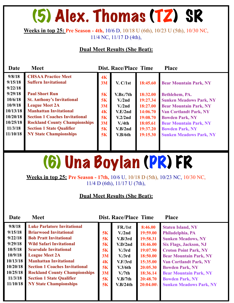### (5) Alex. Thomas (TZ) SR

#### **Weeks in top 25: Pre Season - 4th,** 10/6 D, 10/18 U (6th), 10/23 U (5th), 10/30 NC, 11/4 NC, 11/17 D (4th),

#### **Dual Meet Results (She Beat):**

| Date                            | <b>Meet</b>                                                                                               |                                   | <b>Dist. Race/Place Time</b>              |                                  | <b>Place</b>                                                                              |
|---------------------------------|-----------------------------------------------------------------------------------------------------------|-----------------------------------|-------------------------------------------|----------------------------------|-------------------------------------------------------------------------------------------|
| 9/8/18<br>9/15/18<br>9/22/18    | <b>CHSAA Practice Meet</b><br><b>Suffern Invitational</b>                                                 | 4K<br>3M                          | V. C/1st                                  | 18:45.60                         | <b>Bear Mountain Park, NY</b>                                                             |
| 9/29/18<br>10/6/18<br>10/9/18   | <b>Paul Short Run</b><br><b>St. Anthony's Invitational</b><br><b>League Meet 2A</b>                       | 5K<br>5K                          | V.Br./7th<br>V <sub>1</sub> /2nd          | 18:32.00<br>19:27.34<br>18:27.00 | Bethlehem, PA.<br><b>Sunken Meadows Park, NY</b>                                          |
| 10/13/18<br>10/20/18            | <b>Manhattan Invitational</b><br><b>Section 1 Coaches Invitational</b>                                    | <b>3M</b><br>4 <sub>K</sub><br>5K | V <sub>1</sub> /2nd<br>V.E/2nd<br>V.2/2nd | 14:06.70<br>19:08.70             | <b>Bear Mountain Park, NY</b><br><b>Van Cortlandt Park, NY</b><br><b>Bowden Park, NY</b>  |
| 10/25/18<br>11/3/18<br>11/10/18 | <b>Rockland County Championships</b><br><b>Section 1 State Qualifier</b><br><b>NY State Championships</b> | 3M<br>5K<br>5K                    | V.4th<br>V.B/2nd<br>V.B/6th               | 18:05.61<br>19:37.20<br>19:15.30 | <b>Bear Mountain Park, NY</b><br><b>Bowden Park, NY</b><br><b>Sunken Meadows Park, NY</b> |
|                                 |                                                                                                           |                                   |                                           |                                  |                                                                                           |

### (6) Una Boylan (PR) FR

**Weeks in top 25: Pre Season - 17th,** 10/6 U, 10/18 D (5th), 10/23 NC, 10/30 NC, 11/4 D (6th), 11/17 U (7th),

| <b>Date</b><br><b>Meet</b>                                                                                                                                                                                                                                                                                                                                                                                                                                                                                           |                                                                      | <b>Dist. Race/Place Time</b>                                                                                                                                       |                                                                                                                                 | <b>Place</b>                                                                                                                                                                                                                                                                                                                        |
|----------------------------------------------------------------------------------------------------------------------------------------------------------------------------------------------------------------------------------------------------------------------------------------------------------------------------------------------------------------------------------------------------------------------------------------------------------------------------------------------------------------------|----------------------------------------------------------------------|--------------------------------------------------------------------------------------------------------------------------------------------------------------------|---------------------------------------------------------------------------------------------------------------------------------|-------------------------------------------------------------------------------------------------------------------------------------------------------------------------------------------------------------------------------------------------------------------------------------------------------------------------------------|
| 9/8/18<br><b>Luke Parlatore Invitational</b><br>9/15/18<br><b>Briarwood Invitational</b><br>9/22/18<br><b>Bob Pratt Invitational</b><br>9/29/18<br><b>Wild Safari Invitational</b><br>10/5/18<br><b>Scarsdale Invitational</b><br>10/9/18<br><b>League Meet 2A</b><br><b>Manhattan Invitational</b><br>10/13/18<br>10/20/18<br><b>Section 1 Coaches Invitational</b><br>10/25/18<br><b>Rockland County Championships</b><br>11/3/18<br><b>Section 1 State Qualifier</b><br>11/10/18<br><b>NY State Championships</b> | 5K<br>5K<br>5K<br>5K<br>3M<br>4 <sub>K</sub><br>5K<br>3M<br>5K<br>5K | FR./1st<br>V <sub>1</sub> /2nd<br>V.B/3rd<br>V.D/2nd<br>V <sub>1</sub> /3rd<br>V <sub>1</sub> /3rd<br>V.F/3rd<br>V.3/6th<br>$V_{\rm A}/7th$<br>V.B/7th<br>V.B/24th | 8:46.00<br>19:59.00<br>19:58.31<br>18:46.00<br>19:07.90<br>18:50.00<br>15:35.00<br>20:05.30<br>18:36.14<br>20:48.70<br>20:04.00 | <b>Staten Island, NY</b><br>Philadelphia, PA<br><b>Sunken Meadows, NY</b><br><b>Six Flags, Jackson, NJ</b><br><b>Croton Point Park, NY</b><br><b>Bear Mountain Park, NY</b><br><b>Van Cortlandt Park, NY</b><br><b>Bowden Park, NY</b><br><b>Bear Mountain Park, NY</b><br><b>Bowden Park, NY</b><br><b>Sunken Meadows Park, NY</b> |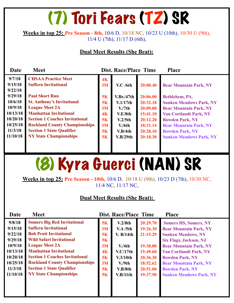### (7) Tori Fears (TZ) SR

**Weeks in top 25: Pre Season - 8th,** 10/6 D, 10/18 NC, 10/23 U (10th), 10/30 U (9th), 11/4 U (7th), 11/17 D (6th),

#### **Dual Meet Results (She Beat):**

| Date                                                                                                                     | <b>Meet</b>                                                                                                                                                                                                                                                                                                                             |                                                                | Dist. Race/Place Time                                                                                                      |                                                                                                          | <b>Place</b>                                                                                                                                                                                                                             |
|--------------------------------------------------------------------------------------------------------------------------|-----------------------------------------------------------------------------------------------------------------------------------------------------------------------------------------------------------------------------------------------------------------------------------------------------------------------------------------|----------------------------------------------------------------|----------------------------------------------------------------------------------------------------------------------------|----------------------------------------------------------------------------------------------------------|------------------------------------------------------------------------------------------------------------------------------------------------------------------------------------------------------------------------------------------|
| 9/7/18<br>9/15/18<br>9/22/18<br>9/29/18<br>10/6/18<br>10/9/18<br>10/13/18<br>10/20/18<br>10/25/18<br>11/3/18<br>11/10/18 | <b>CHSAA Practice Meet</b><br><b>Suffern Invitational</b><br><b>Paul Short Run</b><br><b>St. Anthony's Invitational</b><br><b>League Meet 2A</b><br><b>Manhattan Invitational</b><br><b>Section 1 Coaches Invitational</b><br><b>Rockland County Championships</b><br><b>Section 1 State Qualifier</b><br><b>NY State Championships</b> | 4K<br>3M<br>5K<br>5K<br>3M<br>4 <sub>K</sub><br>5K<br>3M<br>5K | $V.C$ /6th<br>V.Br./47th<br>V.1/17th<br>$V_{\rm A}/7$ th<br>V.E/8th<br>V.2/5 <sub>th</sub><br>V/6th<br>V.B/4th<br>V.B/29th | 20:08.40<br>20:06.00<br>20:32.18<br>20:09.00<br>15:41.10<br>20:12.20<br>18:31.14<br>20:28.10<br>20:18.30 | <b>Bear Mountain Park, NY</b><br>Bethlehem, PA.<br><b>Sunken Meadows Park, NY</b><br><b>Bear Mountain Park, NY</b><br><b>Van Cortlandt Park, NY</b><br><b>Bowden Park, NY</b><br><b>Bear Mountain Park, NY</b><br><b>Bowden Park, NY</b> |
|                                                                                                                          |                                                                                                                                                                                                                                                                                                                                         | 5K                                                             |                                                                                                                            |                                                                                                          | <b>Sunken Meadows Park, NY</b>                                                                                                                                                                                                           |

### (8) Kyra Guerci (NAN) SR

**Weeks in top 25: Pre Season - 10th,** 10/6 D, 10/18 U (9th), 10/23 D (7th), 10/30 NC, 11/4 NC, 11/17 NC,

| Date                                                                                                          | <b>Meet</b>                                                                                                                                                                                                                                                                                                                                           |                                                          | <b>Dist. Race/Place Time</b>                                                                                   |                                                                                                          | <b>Place</b>                                                                                                                                                                                                                                                                                                         |
|---------------------------------------------------------------------------------------------------------------|-------------------------------------------------------------------------------------------------------------------------------------------------------------------------------------------------------------------------------------------------------------------------------------------------------------------------------------------------------|----------------------------------------------------------|----------------------------------------------------------------------------------------------------------------|----------------------------------------------------------------------------------------------------------|----------------------------------------------------------------------------------------------------------------------------------------------------------------------------------------------------------------------------------------------------------------------------------------------------------------------|
| 9/8/18<br>9/15/18<br>9/22/18<br>9/29/18<br>10/9/18<br>10/13/18<br>10/20/18<br>10/25/18<br>11/3/18<br>11/10/18 | <b>Somers Big Red Invitational</b><br><b>Suffern Invitational</b><br><b>Bob Pratt Invitational</b><br><b>Wild Safari Invitational</b><br><b>League Meet 2A</b><br><b>Manhattan Invitational</b><br><b>Section 1 Coaches Invitational</b><br><b>Rockland County Championships</b><br><b>Section 1 State Qualifier</b><br><b>NY State Championships</b> | 5K<br>3M<br>5K<br>5K<br>3M<br>4K<br>5K<br>3M<br>5K<br>5K | V.2/8th<br>V.A/5th<br>V. B/14th<br>V/4th<br>V.C/17th<br>V.3/10th<br>V <sub>1</sub> /9th<br>V.B/8th<br>V.B/11th | 20:29.70<br>19:26.30<br>21:15.29<br>19:30.00<br>15:49.60<br>20:36.30<br>18:52.62<br>20:51.00<br>19:37.50 | <b>Somers HS, Somers, NY</b><br><b>Bear Mountain Park, NY</b><br><b>Sunken Meadows, NY</b><br><b>Six Flags, Jackson, NJ</b><br><b>Bear Mountain Park, NY</b><br><b>Van Cortlandt Park, NY</b><br><b>Bowden Park, NY</b><br><b>Bear Mountain Park, NY</b><br><b>Bowden Park, NY</b><br><b>Sunken Meadows Park, NY</b> |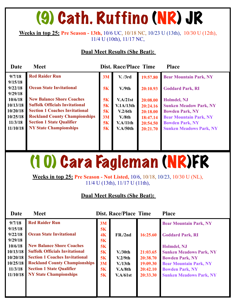## (9) Cath. Ruffino (NR) JR

**Weeks in top 25: Pre Season - 13th,** 10/6 UC, 10/18 NC, 10/23 U (13th), 10/30 U (12th), 11/4 U (10th), 11/17 NC,

#### **Dual Meet Results (She Beat):**

| Date                                                               | <b>Meet</b>                                                                                                                                                                                                                     |                                         | <b>Dist. Race/Place Time</b>                                      |                                                                      | <b>Place</b>                                                                                                                                                        |
|--------------------------------------------------------------------|---------------------------------------------------------------------------------------------------------------------------------------------------------------------------------------------------------------------------------|-----------------------------------------|-------------------------------------------------------------------|----------------------------------------------------------------------|---------------------------------------------------------------------------------------------------------------------------------------------------------------------|
| 9/7/18                                                             | <b>Red Raider Run</b>                                                                                                                                                                                                           | 3M                                      | V. /3rd                                                           | 19:57.80                                                             | <b>Bear Mountain Park, NY</b>                                                                                                                                       |
| 9/15/18<br>9/22/18<br>9/29/18                                      | <b>Ocean State Invitational</b>                                                                                                                                                                                                 | 5K                                      | V <sub>1</sub> /9th                                               | 20:10.93                                                             | <b>Goddard Park, RI</b>                                                                                                                                             |
| 10/6/18<br>10/13/18<br>10/20/18<br>10/25/18<br>11/3/18<br>11/10/18 | <b>New Balance Shore Coaches</b><br><b>Suffolk Officials Invitational</b><br><b>Section 1 Coaches Invitational</b><br><b>Rockland County Championships</b><br><b>Section 1 State Qualifier</b><br><b>NY State Championships</b> | 5K<br>5K<br><b>5K</b><br>3M<br>5K<br>5K | V.A/21st<br>V.1A/13th<br>V.2/6th<br>V.8th<br>V.A/11th<br>V.A/50th | 20:08.00<br>20:24.16<br>20:18.00<br>18:47.14<br>20:54.50<br>20:21.70 | Holmdel, NJ<br><b>Sunken Meadow Park, NY</b><br><b>Bowden Park, NY</b><br><b>Bear Mountain Park, NY</b><br><b>Bowden Park, NY</b><br><b>Sunken Meadows Park, NY</b> |
|                                                                    |                                                                                                                                                                                                                                 |                                         |                                                                   |                                                                      |                                                                                                                                                                     |

### (10) Cara Fagleman (NR)FR

**Weeks in top 25: Pre Season - Not Listed,** 10/6, 10/18, 10/23, 10/30 U (NL), 11/4 U (13th), 11/17 U (11th),

| Date               | <b>Meet</b>                           |          | <b>Dist. Race/Place Time</b> |          | <b>Place</b>                   |
|--------------------|---------------------------------------|----------|------------------------------|----------|--------------------------------|
| 9/7/18             | <b>Red Raider Run</b>                 | 3M       |                              |          | <b>Bear Mountain Park, NY</b>  |
| 9/15/18            |                                       | 5K       |                              |          |                                |
| 9/22/18            | <b>Ocean State Invitational</b>       | 4K       | FR./2nd                      | 16:25.60 | <b>Goddard Park, RI</b>        |
| 9/29/18<br>10/6/18 | <b>New Balance Shore Coaches</b>      | 5K<br>5K |                              |          | <b>Holmdel, NJ</b>             |
| 10/13/18           | <b>Suffolk Officials Invitational</b> | 5K       | V <sub>1</sub> /30th         | 21:03.65 | <b>Sunken Meadows Park, NY</b> |
| 10/20/18           | <b>Section 1 Coaches Invitational</b> | 5K       | V.2/9th                      | 20:38.70 | <b>Bowden Park, NY</b>         |
| 10/25/18           | <b>Rockland County Championships</b>  | 3M       | V/13 <sub>th</sub>           | 19:09.30 | <b>Bear Mountain Park, NY</b>  |
| 11/3/18            | <b>Section 1 State Qualifier</b>      | 5K       | V.A/8th                      | 20:42.10 | <b>Bowden Park, NY</b>         |
| 11/10/18           | <b>NY State Championships</b>         | 5K       | V.A/61st                     | 20:33.30 | <b>Sunken Meadows Park, NY</b> |
|                    |                                       |          |                              |          |                                |
|                    |                                       |          |                              |          |                                |
|                    |                                       |          |                              |          |                                |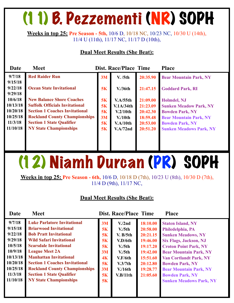### (11) B. Pezzementi (NR) SOPH

**Weeks in top 25: Pre Season - 5th,** 10/6 D, 10/18 NC, 10/23 NC, 10/30 U (14th), 11/4 U (11th), 11/17 NC, 11/17 D (10th),

#### **Dual Meet Results (She Beat):**

| Date               | <b>Meet</b>                           |    | <b>Dist. Race/Place Time</b> |          | <b>Place</b>                   |
|--------------------|---------------------------------------|----|------------------------------|----------|--------------------------------|
| 9/7/18             | <b>Red Raider Run</b>                 | 3M | V. /5th                      | 20:35.90 | <b>Bear Mountain Park, NY</b>  |
| 9/15/18<br>9/22/18 | <b>Ocean State Invitational</b>       | 5K | V <sub>1</sub> /36th         | 21:47.15 | <b>Goddard Park, RI</b>        |
| 9/29/18            |                                       |    |                              |          |                                |
| 10/6/18            | <b>New Balance Shore Coaches</b>      | 5K | V.A/55th                     | 21:09.00 | Holmdel, NJ                    |
| 10/13/18           | <b>Suffolk Officials Invitational</b> | 5K | V.1A/34th                    | 21:23.09 | <b>Sunken Meadow Park, NY</b>  |
| 10/20/18           | <b>Section 1 Coaches Invitational</b> | 5K | V.2/10 <sub>th</sub>         | 20:42.30 | <b>Bowden Park, NY</b>         |
| 10/25/18           | <b>Rockland County Championships</b>  | 3M | $V/10$ th                    | 18:59.48 | <b>Bear Mountain Park, NY</b>  |
| 11/3/18            | <b>Section 1 State Qualifier</b>      | 5K | V.A/10th                     | 20:53.00 | <b>Bowden Park, NY</b>         |
| 11/10/18           | <b>NY State Championships</b>         | 5K | V.A/72nd                     | 20:51.20 | <b>Sunken Meadows Park, NY</b> |
|                    |                                       |    |                              |          |                                |
|                    |                                       |    |                              |          |                                |
|                    |                                       |    |                              |          |                                |

## (12) Niamh Durcan (PR) SOPH

**Weeks in top 25: Pre Season - 6th,** 10/6 D, 10/18 D (7th), 10/23 U (8th), 10/30 D (7th), 11/4 D (9th), 11/17 NC,

| Date                                                                                                                     | <b>Meet</b>                                                                                                                                                                                                                                                                                                                                                                              |                                                                | <b>Dist. Race/Place Time</b>                                                                                                                                |                                                                                                                      | <b>Place</b>                                                                                                                                                                                                                                                                                                                        |
|--------------------------------------------------------------------------------------------------------------------------|------------------------------------------------------------------------------------------------------------------------------------------------------------------------------------------------------------------------------------------------------------------------------------------------------------------------------------------------------------------------------------------|----------------------------------------------------------------|-------------------------------------------------------------------------------------------------------------------------------------------------------------|----------------------------------------------------------------------------------------------------------------------|-------------------------------------------------------------------------------------------------------------------------------------------------------------------------------------------------------------------------------------------------------------------------------------------------------------------------------------|
| 9/7/18<br>9/15/18<br>9/22/18<br>9/29/18<br>10/5/18<br>10/9/18<br>10/13/18<br>10/20/18<br>10/25/18<br>11/3/18<br>11/10/18 | <b>Luke Parlatore Invitational</b><br><b>Briarwood Invitational</b><br><b>Bob Pratt Invitational</b><br><b>Wild Safari Invitational</b><br><b>Scarsdale Invitational</b><br><b>League Meet 2A</b><br><b>Manhattan Invitational</b><br><b>Section 1 Coaches Invitational</b><br><b>Rockland County Championships</b><br><b>Section 1 State Qualifier</b><br><b>NY State Championships</b> | 3M<br>5K<br>5K<br>5K<br>5K<br>3M<br>4K<br>5K<br>3M<br>5K<br>5K | V <sub>1</sub> /2nd<br>V <sub>1</sub> /5th<br>V. B/5th<br>V.D/6th<br>V <sub>1</sub> /5th<br>V <sub>1</sub> /5th<br>V.F/6th<br>V.3/7th<br>V/16th<br>V.B/11th | 18:10.00<br>20:58.00<br>20:21.15<br>19:46.00<br>19:17.20<br>19:42.00<br>15:51.60<br>20:12.80<br>19:28.77<br>21:05.60 | <b>Staten Island, NY</b><br>Philedelphia, PA<br><b>Sunken Meadows, NY</b><br><b>Six Flags, Jackson, NJ</b><br><b>Croton Point Park, NY</b><br><b>Bear Mountain Park, NY</b><br><b>Van Cortlandt Park, NY</b><br><b>Bowden Park, NY</b><br><b>Bear Mountain Park, NY</b><br><b>Bowden Park, NY</b><br><b>Sunken Meadows Park, NY</b> |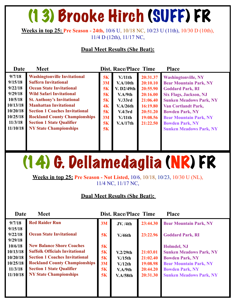### (13) Brooke Hirch (SUFF) FR

**Weeks in top 25: Pre Season - 24th,** 10/6 U, 10/18 NC, 10/23 U (11th), 10/30 D (10th), 11/4 D (12th), 11/17 NC,

#### **Dual Meet Results (She Beat):**

| Date                                                                                              | <b>Meet</b>                                                                                                                                                                                                                                                                                                                         |                                                                         | <b>Dist. Race/Place Time</b>                                                                                |                                                                                                          | <b>Place</b>                                                                                                                                                                                                                                                                 |
|---------------------------------------------------------------------------------------------------|-------------------------------------------------------------------------------------------------------------------------------------------------------------------------------------------------------------------------------------------------------------------------------------------------------------------------------------|-------------------------------------------------------------------------|-------------------------------------------------------------------------------------------------------------|----------------------------------------------------------------------------------------------------------|------------------------------------------------------------------------------------------------------------------------------------------------------------------------------------------------------------------------------------------------------------------------------|
| 9/7/18<br>9/15/18<br>9/22/18<br>9/29/18<br>10/5/18<br>10/13/18<br>10/20/18<br>10/25/18<br>11/3/18 | <b>Washingtonville Invitational</b><br><b>Suffern Invitational</b><br><b>Ocean State Invitational</b><br><b>Wild Safari Invitational</b><br><b>St. Anthony's Invitational</b><br><b>Manhattan Invitational</b><br><b>Section 1 Coaches Invitational</b><br><b>Rockland County Championships</b><br><b>Section 1 State Qualifier</b> | 5K<br>3M<br>5K<br><b>5K</b><br>5K<br>4K<br><b>5K</b><br>3M<br><b>5K</b> | $V/11$ th<br>V.A/10th<br>V. D2/49th<br>V.A/9th<br>V. / 33rd<br>V.A/26th<br>V.4/3rd<br>$V/11$ th<br>V.A/17th | 20:31.37<br>20:10.10<br>20:55.90<br>20:16.00<br>21:06.40<br>16:19.80<br>20:51.20<br>19:08.56<br>21:22.50 | <b>Washingtonville, NY</b><br><b>Bear Mountain Park, NY</b><br><b>Goddard Park, RI</b><br><b>Six Flags, Jackson, NJ</b><br><b>Sunken Meadows Park, NY</b><br><b>Van Cortlandt Park,</b><br><b>Bowden Park, NY</b><br><b>Bear Mountain Park, NY</b><br><b>Bowden Park, NY</b> |
| 11/10/18                                                                                          | <b>NY State Championships</b>                                                                                                                                                                                                                                                                                                       | 5K                                                                      |                                                                                                             |                                                                                                          | <b>Sunken Meadows Park, NY</b>                                                                                                                                                                                                                                               |

### (14) G. Dellamedaglia (NR) FR

**Weeks in top 25: Pre Season - Not Listed,** 10/6, 10/18, 10/23, 10/30 U (NL), 11/4 NC, 11/17 NC,

| Date                                                               | <b>Meet</b>                                                                                                                                                                                                                     |                                  | <b>Dist. Race/Place Time</b>                           |                                                          | <b>Place</b>                                                                                                                                                         |
|--------------------------------------------------------------------|---------------------------------------------------------------------------------------------------------------------------------------------------------------------------------------------------------------------------------|----------------------------------|--------------------------------------------------------|----------------------------------------------------------|----------------------------------------------------------------------------------------------------------------------------------------------------------------------|
| 9/7/18<br>9/15/18                                                  | <b>Red Raider Run</b>                                                                                                                                                                                                           | 3M                               | <b>JV.</b> /4th                                        | 23:44.30                                                 | <b>Bear Mountain Park, NY</b>                                                                                                                                        |
| 9/22/18<br>9/29/18                                                 | <b>Ocean State Invitational</b>                                                                                                                                                                                                 | 5K                               | V.46 <sup>th</sup>                                     | 23:22.96                                                 | <b>Goddard Park, RI</b>                                                                                                                                              |
| 10/6/18<br>10/13/18<br>10/20/18<br>10/25/18<br>11/3/18<br>11/10/18 | <b>New Balance Shore Coaches</b><br><b>Suffolk Officials Invitational</b><br><b>Section 1 Coaches Invitational</b><br><b>Rockland County Championships</b><br><b>Section 1 State Qualifier</b><br><b>NY State Championships</b> | 5K<br>5K<br>5K<br>3M<br>5K<br>5K | V.2/29th<br>$V/15$ th<br>V/12th<br>V.A/9th<br>V.A/58th | 21:03.01<br>21:02.40<br>19:08.98<br>20:44.20<br>20:31.30 | Holmdel, NJ<br><b>Sunken Meadows Park, NY</b><br><b>Bowden Park, NY</b><br><b>Bear Mountain Park, NY</b><br><b>Bowden Park, NY</b><br><b>Sunken Meadows Park, NY</b> |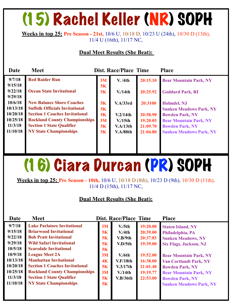## (15) Rachel Keller (NR) SOPH

**Weeks in top 25: Pre Season - 21st,** 10/6 U, 10/18 D, 10/23 U (24th), 10/30 D (13th), 11/4 U (16th), 11/17 NC,

#### **Dual Meet Results (She Beat):**

| <b>Date</b> | <b>Meet</b>                           |    | Dist. Race/Place Time |          | <b>Place</b>                   |
|-------------|---------------------------------------|----|-----------------------|----------|--------------------------------|
| 9/7/18      | <b>Red Raider Run</b>                 | 3M | <b>V.</b> /4th        | 20:15.10 | <b>Bear Mountain Park, NY</b>  |
| 9/15/18     |                                       | 5K |                       |          |                                |
| 9/22/18     | <b>Ocean State Invitational</b>       | 5K | V/14th                | 20:25.92 | <b>Goddard Park, RI</b>        |
| 9/29/18     |                                       |    |                       |          |                                |
| 10/6/18     | <b>New Balance Shore Coaches</b>      | 5K | V.A/33rd              | 20:3100  | Holmdel, NJ                    |
| 10/13/18    | <b>Suffolk Officials Invitational</b> | 5K |                       |          | <b>Sunken Meadows Park, NY</b> |
| 10/20/18    | <b>Section 1 Coaches Invitational</b> | 5K | V.2/14th              | 20:58.90 | <b>Bowden Park, NY</b>         |
| 10/25/18    | <b>Rockland County Championships</b>  | 3M | $V/15$ th             | 19:20.05 | <b>Bear Mountain Park, NY</b>  |
| 11/3/18     | <b>Section 1 State Qualifier</b>      | 5K | V.A/13th              | 21:09.70 | <b>Bowden Park, NY</b>         |
| 11/10/18    | <b>NY State Championships</b>         | 5K | V.A/80th              | 21:04.80 | <b>Sunken Meadows Park, NY</b> |
|             |                                       |    |                       |          |                                |
|             |                                       |    |                       |          |                                |
|             |                                       |    |                       |          |                                |

### (16) Ciara Durcan (PR) SOPH

**Weeks in top 25: Pre Season - 10th,** 10/6 U, 10/18 D (8th), 10/23 D (9th), 10/30 D (11th), 11/4 D (15th), 11/17 NC,

| Date                                                                                                                     | <b>Meet</b>                                                                                                                                                                                                                                                                                                                                                                              |                                                                       | <b>Dist. Race/Place Time</b>                                                                              |                                                                                                          | <b>Place</b>                                                                                                                                                                                                                                                                                        |
|--------------------------------------------------------------------------------------------------------------------------|------------------------------------------------------------------------------------------------------------------------------------------------------------------------------------------------------------------------------------------------------------------------------------------------------------------------------------------------------------------------------------------|-----------------------------------------------------------------------|-----------------------------------------------------------------------------------------------------------|----------------------------------------------------------------------------------------------------------|-----------------------------------------------------------------------------------------------------------------------------------------------------------------------------------------------------------------------------------------------------------------------------------------------------|
| 9/7/18<br>9/15/18<br>9/22/18<br>9/29/18<br>10/5/18<br>10/9/18<br>10/13/18<br>10/20/18<br>10/25/18<br>11/3/18<br>11/10/18 | <b>Luke Parlatore Invitational</b><br><b>Briarwood Invitational</b><br><b>Bob Pratt Invitational</b><br><b>Wild Safari Invitational</b><br><b>Scarsdale Invitational</b><br><b>League Meet 2A</b><br><b>Manhattan Invitational</b><br><b>Section 1 Coaches Invitational</b><br><b>Rockland County Championships</b><br><b>Section 1 State Qualifier</b><br><b>NY State Championships</b> | 3M<br>5K<br>5K<br>5K<br><b>5K</b><br>3M<br>4K<br>5K<br>3M<br>5K<br>5K | V <sub>1</sub> /5th<br>V.4th<br>V.B/9th<br>V.D/5th<br>V/6th<br>V.F/18th<br>V.3/17th<br>V/14th<br>V.B/36th | 19:20.00<br>20:39.00<br>20:37.83<br>19:39.00<br>19:52.00<br>16:38.00<br>21:01.40<br>19:19.77<br>22:53.00 | <b>Staten Island, NY</b><br>Philadelphia, PA<br><b>Sunken Meadows, NY</b><br><b>Six Flags, Jackson, NJ</b><br><b>Bear Mountain Park, NY</b><br><b>Van Cortlandt Park, NY</b><br><b>Bowden Park, NY</b><br><b>Bear Mountain Park, NY</b><br><b>Bowden Park, NY</b><br><b>Sunken Meadows Park, NY</b> |
|                                                                                                                          |                                                                                                                                                                                                                                                                                                                                                                                          |                                                                       |                                                                                                           |                                                                                                          |                                                                                                                                                                                                                                                                                                     |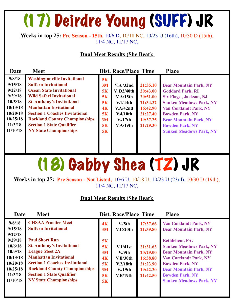## (17) Deirdre Young (SUFF) JR

**Weeks in top 25: Pre Season - 15th,** 10/6 D, 10/18 NC, 10/23 U (16th), 10/30 D (15th), 11/4 NC, 11/17 NC,

#### **Dual Meet Results (She Beat):**

| Date     | <b>Meet</b>                           |                | Dist. Race/Place Time |          | <b>Place</b>                   |
|----------|---------------------------------------|----------------|-----------------------|----------|--------------------------------|
| 9/8/18   | <b>Washingtonville Invitational</b>   | 5K             |                       |          |                                |
| 9/15/18  | <b>Suffern Invitational</b>           | 3M             | $V.A$ /32nd           | 21:35.10 | <b>Bear Mountain Park, NY</b>  |
| 9/22/18  | <b>Ocean State Invitational</b>       | 5K             | V. D2/40th            | 20:43.00 | <b>Goddard Park, RI</b>        |
| 9/29/18  | <b>Wild Safari Invitational</b>       | <b>5K</b>      | V.A/15th              | 20:51.00 | <b>Six Flags, Jackson, NJ</b>  |
| 10/5/18  | <b>St. Anthony's Invitational</b>     | <b>5K</b>      | V.1/44th              | 21:34.32 | <b>Sunken Meadows Park, NY</b> |
| 10/13/18 | <b>Manhattan Invitational</b>         | 4 <sub>K</sub> | V.A/42nd              | 16:42.90 | <b>Van Cortlandt Park, NY</b>  |
| 10/20/18 | <b>Section 1 Coaches Invitational</b> | 5K             | V.4/10th              | 21:27.40 | <b>Bowden Park, NY</b>         |
| 10/25/18 | <b>Rockland County Championships</b>  | 3M             | V/17th                | 19:37.25 | <b>Bear Mountain Park, NY</b>  |
| 11/3/18  | <b>Section 1 State Qualifier</b>      | <b>5K</b>      | V.A/19th              | 21:29.30 | <b>Bowden Park, NY</b>         |
| 11/10/18 | <b>NY State Championships</b>         | 5K             |                       |          | <b>Sunken Meadows Park, NY</b> |
|          |                                       |                |                       |          |                                |
|          |                                       |                |                       |          |                                |
|          |                                       |                |                       |          |                                |

### (18) Gabby Shea (TZ) JR

**Weeks in top 25: Pre Season - Not Listed,** 10/6 U, 10/18 U, 10/23 U (23rd), 10/30 D (19th), 11/4 NC, 11/17 NC,

| Date                                                                                                         | <b>Meet</b>                                                                                                                                                                                                                                                                                            |                                                           | <b>Dist. Race/Place Time</b>                                                                                                 |                                                                                              | <b>Place</b>                                                                                                                                                                                                                                                              |
|--------------------------------------------------------------------------------------------------------------|--------------------------------------------------------------------------------------------------------------------------------------------------------------------------------------------------------------------------------------------------------------------------------------------------------|-----------------------------------------------------------|------------------------------------------------------------------------------------------------------------------------------|----------------------------------------------------------------------------------------------|---------------------------------------------------------------------------------------------------------------------------------------------------------------------------------------------------------------------------------------------------------------------------|
| 9/8/18<br>9/15/18<br>9/22/18<br>9/29/18<br>10/6/18<br>10/9/18<br>10/13/18<br>10/20/18<br>10/25/18<br>11/3/18 | <b>CHSAA Practice Meet</b><br><b>Suffern Invitational</b><br><b>Paul Short Run</b><br><b>St. Anthony's Invitational</b><br><b>League Meet 2A</b><br><b>Manhattan Invitational</b><br><b>Section 1 Coaches Invitational</b><br><b>Rockland County Championships</b><br><b>Section 1 State Qualifier</b> | 4K<br>3M<br>5K<br>5K<br>3M<br>4K<br>5K<br>3M<br><b>5K</b> | V <sub>1</sub> /5th<br>V.C/20th<br>V.1/41st<br>V <sub>0</sub> /9th<br>V.E/30th<br>V.2/18th<br>V/19 <sub>th</sub><br>V.B/19th | 17:37.66<br>21:39.80<br>21:31.63<br>20:29.00<br>16:38.80<br>21:23.90<br>19:42.30<br>21:42.50 | <b>Van Cortlandt Park, NY</b><br><b>Bear Mountain Park, NY</b><br>Bethlehem, PA.<br><b>Sunken Meadows Park, NY</b><br><b>Bear Mountain Park, NY</b><br><b>Van Cortlandt Park, NY</b><br><b>Bowden Park, NY</b><br><b>Bear Mountain Park, NY</b><br><b>Bowden Park, NY</b> |
| 11/10/18                                                                                                     | <b>NY State Championships</b>                                                                                                                                                                                                                                                                          | 5K                                                        |                                                                                                                              |                                                                                              | <b>Sunken Meadows Park, NY</b>                                                                                                                                                                                                                                            |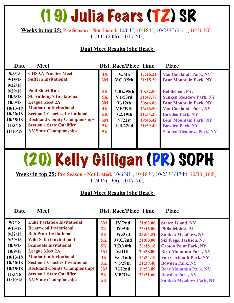### (19) Julia Fears (TZ) SR

#### **Weeks in top 25: Pre Season - Not Listed,** 10/6 U, 10/18 U, 10/23 U (21st), 10/30 NC, 11/4 U (20th), 11/17 NC,

#### **Dual Meet Results (She Beat):**

| Date                                                                                     | <b>Meet</b>                                                                                                                                                                                                                                                                |                                                                 | <b>Dist. Race/Place Time</b>                                                                        |                                                                                  | <b>Place</b>                                                                                                                                                                                                                             |
|------------------------------------------------------------------------------------------|----------------------------------------------------------------------------------------------------------------------------------------------------------------------------------------------------------------------------------------------------------------------------|-----------------------------------------------------------------|-----------------------------------------------------------------------------------------------------|----------------------------------------------------------------------------------|------------------------------------------------------------------------------------------------------------------------------------------------------------------------------------------------------------------------------------------|
| 9/8/18<br>9/15/18<br>9/22/18                                                             | <b>CHSAA Practice Meet</b><br><b>Suffern Invitational</b>                                                                                                                                                                                                                  | 4K<br>3M                                                        | V/4th<br><b>V.C</b> /15th                                                                           | 17:26.21<br>21:15.20                                                             | <b>Van Cortlandt Park, NY</b><br><b>Bear Mountain Park, NY</b>                                                                                                                                                                           |
| 9/29/18<br>10/6/18<br>10/9/18<br>10/13/18<br>10/20/18<br>10/25/18<br>11/3/18<br>11/10/18 | <b>Paul Short Run</b><br><b>St. Anthony's Invitational</b><br><b>League Meet 2A</b><br><b>Manhattan Invitational</b><br><b>Section 1 Coaches Invitational</b><br><b>Rockland County Championships</b><br><b>Section 1 State Qualifier</b><br><b>NY State Championships</b> | 5K<br>5K<br>3M<br>4 <sub>K</sub><br>5K<br>3M<br>5K<br><b>5K</b> | <b>V.Br./95th</b><br>V.1/53rd<br>V/12th<br>V.E/39th<br>V.2/19th<br>V <sub>1</sub> /21st<br>V.B/22nd | 20:52.00<br>21:42.77<br>20:46.00<br>16:46.50<br>21:34.20<br>19:45.42<br>21:59.40 | Bethlehem, PA.<br><b>Sunken Meadow Park, NY</b><br><b>Bear Mountain Park, NY</b><br><b>Van Cortlandt Park, NY</b><br><b>Bowden Park, NY</b><br><b>Bear Mountain Park, NY</b><br><b>Bowden Park, NY</b><br><b>Sunken Meadows Park, NY</b> |

### (20) Kelly Gilligan (PR) SOPH

**Weeks in top 25: Pre Season - Not Listed,** 10/6 NL , 10/18 U, 10/23 U (17th), 10/30 (16th), 11/4 D (19th), 11/17 NC,

#### **Dual Meet Results (She Beat):**

**Date Meet Dist. Race/Place Time Place** 

| 9/7/18   | <b>Luke Parlatore Invitational</b>    | 3M | $JV$ ./2nd           | 21:03.00 | <b>Staten Island, NY</b>       |
|----------|---------------------------------------|----|----------------------|----------|--------------------------------|
| 9/15/18  | <b>Briarwood Invitational</b>         | 3K | JV <sub>1</sub> /5th | 23:15.00 | Philadelphia, PA               |
| 9/22/18  | <b>Bob Pratt Invitational</b>         | 5K | JV <sub>1</sub> /3rd | 23:04.52 | <b>Sunken Meadows, NY</b>      |
| 9/29/18  | <b>Wild Safari Invitational</b>       | 5K | JV.C/2nd             | 21:00.00 | <b>Six Flags, Jackson, NJ</b>  |
| 10/5/18  | <b>Scarsdale Invitational</b>         | 5K | V.D/10th             | 20:18.10 | <b>Croton Point Park, NY</b>   |
| 10/9/18  | <b>League Meet 2A</b>                 | 3M | $V/11$ th            | 20:38.00 | <b>Bear Mountain Park, NY</b>  |
| 10/13/18 | <b>Manhattan Invitational</b>         | 4K | V.C/16th             | 16:34.10 | <b>Van Cortlandt Park, NY</b>  |
| 10/20/18 | <b>Section 1 Coaches Invitational</b> | 5K | V.3/28th             | 21:38.40 | <b>Bowden Park, NY</b>         |
| 10/25/18 | <b>Rockland County Championships</b>  | 3M | V <sub>1</sub> /22nd | 19:53.89 | <b>Bear Mountain Park, NY</b>  |
| 11/3/18  | <b>Section 1 State Qualifier</b>      | 5K | V.B/31st             | 22:31.60 | <b>Bowden Park, NY</b>         |
| 11/10/18 | <b>NY State Championships</b>         | 5K |                      |          | <b>Sunken Meadows Park, NY</b> |
|          |                                       |    |                      |          |                                |
|          |                                       |    |                      |          |                                |
|          |                                       |    |                      |          |                                |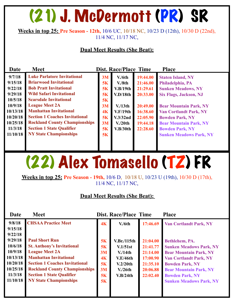### (21) J. McDermott (PR) SR

**Weeks in top 25: Pre Season - 12th,** 10/6 UC, 10/18 NC, 10/23 D (12th), 10/30 D (22nd), 11/4 NC, 11/17 NC,

#### **Dual Meet Results (She Beat):**

| Date                                                                                                         | <b>Meet</b>                                                                                                                                                                                                                                                                                                                                             |                                                                 | <b>Place</b>                                                                                                                                 |                                                                                                          |                                                                                                                                                                                                                                                                   |
|--------------------------------------------------------------------------------------------------------------|---------------------------------------------------------------------------------------------------------------------------------------------------------------------------------------------------------------------------------------------------------------------------------------------------------------------------------------------------------|-----------------------------------------------------------------|----------------------------------------------------------------------------------------------------------------------------------------------|----------------------------------------------------------------------------------------------------------|-------------------------------------------------------------------------------------------------------------------------------------------------------------------------------------------------------------------------------------------------------------------|
| 9/7/18<br>9/15/18<br>9/22/18<br>9/29/18<br>10/5/18<br>10/9/18<br>10/13/18<br>10/20/18<br>10/25/18<br>11/3/18 | <b>Luke Parlatore Invitational</b><br><b>Briarwood Invitational</b><br><b>Bob Pratt Invitational</b><br><b>Wild Safari Invitational</b><br><b>Scarsdale Invitational</b><br><b>League Meet 2A</b><br><b>Manhattan Invitational</b><br><b>Section 1 Coaches Invitational</b><br><b>Rockland County Championships</b><br><b>Section 1 State Qualifier</b> | 3M<br><b>5K</b><br>5K<br>5K<br>5K<br>3M<br>4K<br>5K<br>3M<br>5K | <b>Dist. Race/Place Time</b><br>V/6th<br>V.8th<br>V.B/19th<br>V.D/18th<br>V/13th<br>V.F/19th<br>V.3/32nd<br>V <sub>1</sub> /20th<br>V.B/30th | 19:44.00<br>21:46.00<br>21:29.61<br>20:33.00<br>20:49.00<br>16:38.60<br>22:05.90<br>19:44.18<br>22:28.60 | <b>Staten Island, NY</b><br>Philadelphia, PA<br><b>Sunken Meadows, NY</b><br><b>Six Flags, Jackson, NJ</b><br><b>Bear Mountain Park, NY</b><br><b>Van Cortlandt Park, NY</b><br><b>Bowden Park, NY</b><br><b>Bear Mountain Park, NY</b><br><b>Bowden Park, NY</b> |
| 11/10/18                                                                                                     | <b>NY State Championships</b>                                                                                                                                                                                                                                                                                                                           | 5K                                                              |                                                                                                                                              |                                                                                                          | <b>Sunken Meadows Park, NY</b>                                                                                                                                                                                                                                    |
|                                                                                                              |                                                                                                                                                                                                                                                                                                                                                         |                                                                 |                                                                                                                                              |                                                                                                          |                                                                                                                                                                                                                                                                   |

### (22) Alex Tomasello (TZ) FR

**Weeks in top 25: Pre Season - 19th,** 10/6 D, 10/18 U, 10/23 U (19th), 10/30 D (17th), 11/4 NC, 11/17 NC,

| Date     | <b>Meet</b>                           |                | <b>Dist. Race/Place Time</b> |          | <b>Place</b>                   |
|----------|---------------------------------------|----------------|------------------------------|----------|--------------------------------|
| 9/8/18   | <b>CHSAA Practice Meet</b>            | 4K             | V/6th                        | 17:46.69 | <b>Van Cortlandt Park, NY</b>  |
| 9/15/18  |                                       |                |                              |          |                                |
| 9/22/18  |                                       |                |                              |          |                                |
| 9/29/18  | <b>Paul Short Run</b>                 | 5K             | V.Br./115th                  | 21:04.00 | Bethlehem, PA.                 |
| 10/6/18  | <b>St. Anthony's Invitational</b>     | 5K             | V.1/51st                     | 21:41.77 | <b>Sunken Meadows Park, NY</b> |
| 10/9/18  | <b>League Meet 2A</b>                 | 3M             | V/14th                       | 21:14.00 | <b>Bear Mountain Park, NY</b>  |
| 10/13/18 | <b>Manhattan Invitational</b>         | 4 <sub>K</sub> | V.E/46th                     | 17:00.90 | <b>Van Cortlandt Park, NY</b>  |
| 10/20/18 | <b>Section 1 Coaches Invitational</b> | 5K             | V.2/20th                     | 21:35.10 | <b>Bowden Park, NY</b>         |
| 10/25/18 | <b>Rockland County Championships</b>  | 3M             | V/26th                       | 20:06.88 | <b>Bear Mountain Park, NY</b>  |
| 11/3/18  | <b>Section 1 State Qualifier</b>      | 5K             | V.B/24th                     | 22:02.40 | <b>Bowden Park, NY</b>         |
| 11/10/18 | <b>NY State Championships</b>         | 5K             |                              |          | <b>Sunken Meadows Park, NY</b> |
|          |                                       |                |                              |          |                                |
|          |                                       |                |                              |          |                                |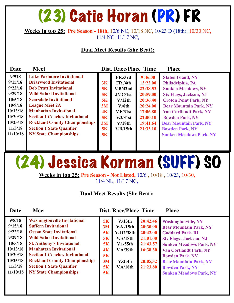### (23) Catie Horan (PR) FR

#### **Weeks in top 25: Pre Season - 18th,** 10/6 NC, 10/18 NC, 10/23 D (18th), 10/30 NC, 11/4 NC, 11/17 NC,

#### **Dual Meet Results (She Beat):**

| Date     | <b>Meet</b>                           | Dist. Race/Place Time<br><b>Place</b> |          |          |                                |  |  |  |
|----------|---------------------------------------|---------------------------------------|----------|----------|--------------------------------|--|--|--|
| 9/918    | <b>Luke Parlatore Invitational</b>    |                                       | FR./3rd  | 9:46.00  | <b>Staten Island, NY</b>       |  |  |  |
| 9/15/18  | <b>Briarwood Invitational</b>         | 3K                                    | FR./4th  | 12:22.00 | Philadelphia, PA               |  |  |  |
| 9/22/18  | <b>Bob Pratt Invitational</b>         | 5K                                    | V.B/42nd | 22:38.53 | <b>Sunken Meadows, NY</b>      |  |  |  |
| 9/29/18  | <b>Wild Safari Invitational</b>       | <b>5K</b>                             | JV.C/1st | 20:59.00 | <b>Six Flags, Jackson, NJ</b>  |  |  |  |
| 10/5/18  | <b>Scarsdale Invitational</b>         | 5K                                    | V/12th   | 20:36.40 | <b>Croton Point Park, NY</b>   |  |  |  |
| 10/9/18  | <b>League Meet 2A</b>                 | 3M                                    | V.8th    | 20:24.00 | <b>Bear Mountain Park, NY</b>  |  |  |  |
| 10/13/18 | <b>Manhattan Invitational</b>         | 4K                                    | V.F/31st | 17:06.80 | <b>Van Cortlandt Park, NY</b>  |  |  |  |
| 10/20/18 | <b>Section 1 Coaches Invitational</b> | 5K                                    | V.3/31st | 22:00.10 | <b>Bowden Park, NY</b>         |  |  |  |
| 10/25/18 | <b>Rockland County Championships</b>  | 3M                                    | V/18th   | 19:41.64 | <b>Bear Mountain Park, NY</b>  |  |  |  |
| 11/3/18  | <b>Section 1 State Qualifier</b>      | <b>5K</b>                             | V.B/15th | 21:33.10 | <b>Bowden Park, NY</b>         |  |  |  |
| 11/10/18 | <b>NY State Championships</b>         | 5K                                    |          |          | <b>Sunken Meadows Park, NY</b> |  |  |  |
|          |                                       |                                       |          |          |                                |  |  |  |

### (24) Jessica Korman (SUFF) SO

**Weeks in top 25: Pre Season - Not Listed,** 10/6 , 10/18 , 10/23, 10/30, 11/4 NL, 11/17 NC,

| Date                                                                                                          | <b>Meet</b>                                                                                                                                                                                                                                                                                                                                                          |                                                          | <b>Dist. Race/Place Time</b>                                                                                |                                                                                              | <b>Place</b>                                                                                                                                                                                                                                                                                                      |
|---------------------------------------------------------------------------------------------------------------|----------------------------------------------------------------------------------------------------------------------------------------------------------------------------------------------------------------------------------------------------------------------------------------------------------------------------------------------------------------------|----------------------------------------------------------|-------------------------------------------------------------------------------------------------------------|----------------------------------------------------------------------------------------------|-------------------------------------------------------------------------------------------------------------------------------------------------------------------------------------------------------------------------------------------------------------------------------------------------------------------|
| 9/8/18<br>9/15/18<br>9/22/18<br>9/29/18<br>10/5/18<br>10/13/18<br>10/20/18<br>10/25/18<br>11/3/18<br>11/10/18 | <b>Washingtonville Invitational</b><br><b>Suffern Invitational</b><br><b>Ocean State Invitational</b><br><b>Wild Safari Invitational</b><br><b>St. Anthony's Invitational</b><br><b>Manhattan Invitational</b><br><b>Section 1 Coaches Invitational</b><br><b>Rockland County Championships</b><br><b>Section 1 State Qualifier</b><br><b>NY State Championships</b> | 5K<br>3M<br>5K<br>5K<br>5K<br>4K<br>5K<br>3M<br>5K<br>5K | V/13th<br>V.A/15th<br>V. D2/38th<br>V.A/18th<br>$V.1/55$ th<br>V.A/39th<br>V <sub>1</sub> /25th<br>V.A/18th | 20:42.46<br>20:30.90<br>20:42.00<br>21:01.00<br>21:43.57<br>16:38.30<br>20:05,32<br>21:23.80 | <b>Washingtonville, NY</b><br><b>Bear Mountain Park, NY</b><br><b>Goddard Park, RI</b><br><b>Six Flags, Jackson, NJ</b><br><b>Sunken Meadows Park, NY</b><br><b>Van Cortlandt Park, NY</b><br><b>Bowden Park, NY</b><br><b>Bear Mountain Park, NY</b><br><b>Bowden Park, NY</b><br><b>Sunken Meadows Park, NY</b> |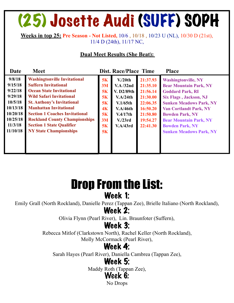### (25) Josette Audi (SUFF) SOPH

**Weeks in top 25: Pre Season - Not Listed,** 10/6 , 10/18 , 10/23 U (NL), 10/30 D (21st), 11/4 D (24th), 11/17 NC,

#### **Dual Meet Results (She Beat):**

| Date                                                                                                          | <b>Meet</b>                                                                                                                                                                                                                                                                                                                                                          |                                                                                    | <b>Dist. Race/Place Time</b>                                                                                                          |                                                                                                          | <b>Place</b>                                                                                                                                                                                                                                                                                                      |
|---------------------------------------------------------------------------------------------------------------|----------------------------------------------------------------------------------------------------------------------------------------------------------------------------------------------------------------------------------------------------------------------------------------------------------------------------------------------------------------------|------------------------------------------------------------------------------------|---------------------------------------------------------------------------------------------------------------------------------------|----------------------------------------------------------------------------------------------------------|-------------------------------------------------------------------------------------------------------------------------------------------------------------------------------------------------------------------------------------------------------------------------------------------------------------------|
| 9/8/18<br>9/15/18<br>9/22/18<br>9/29/18<br>10/5/18<br>10/13/18<br>10/20/18<br>10/25/18<br>11/3/18<br>11/10/18 | <b>Washingtonville Invitational</b><br><b>Suffern Invitational</b><br><b>Ocean State Invitational</b><br><b>Wild Safari Invitational</b><br><b>St. Anthony's Invitational</b><br><b>Manhattan Invitational</b><br><b>Section 1 Coaches Invitational</b><br><b>Rockland County Championships</b><br><b>Section 1 State Qualifier</b><br><b>NY State Championships</b> | 5K<br>3M<br>5K<br><b>5K</b><br>5K<br>4 <sub>K</sub><br>5K<br>3M<br>5K<br><b>5K</b> | V <sub>1</sub> /20th<br>V.A/32nd<br>V. D2/89th<br>V.A/24th<br>$V.1/65$ th<br>V.A/46th<br>V.4/17th<br>V <sub>1</sub> /23rd<br>V.A/43rd | 21:37.93<br>21:35.10<br>21:56.14<br>21:30.00<br>22:06.35<br>16:50.20<br>21:50.80<br>19:54.27<br>22:41.30 | <b>Washingtonville, NY</b><br><b>Bear Mountain Park, NY</b><br><b>Goddard Park, RI</b><br><b>Six Flags, Jackson, NJ</b><br><b>Sunken Meadows Park, NY</b><br><b>Van Cortlandt Park, NY</b><br><b>Bowden Park, NY</b><br><b>Bear Mountain Park, NY</b><br><b>Bowden Park, NY</b><br><b>Sunken Meadows Park, NY</b> |

### Drop From the List: Week 1:

Emily Grall (North Rockland), Danielle Perez (Tappan Zee), Brielle Italiano (North Rockland),

### Week 2:

Olivia Flynn (Pearl River), Lin. Braunfoter (Suffern),

### Week 3:

Rebecca Mitlof (Clarkstown North), Rachel Keller (North Rockland), Molly McCormack (Pearl River),

### Week 4:

Sarah Hayes (Pearl River), Daniella Cambrea (Tappan Zee),

### Week 5:

Maddy Roth (Tappan Zee),

### Week 6:

No Drops